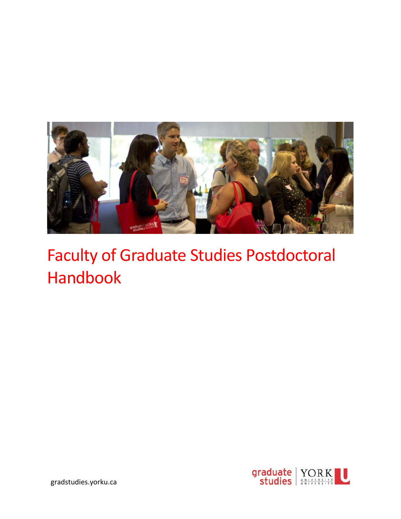

# Faculty of Graduate Studies Postdoctoral Handbook

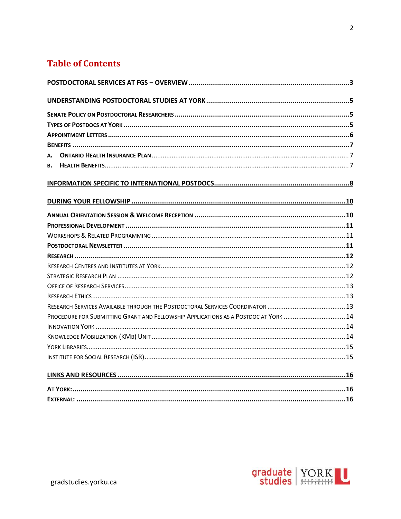# **Table of Contents**

| в. |                                                                                    |  |
|----|------------------------------------------------------------------------------------|--|
|    |                                                                                    |  |
|    |                                                                                    |  |
|    |                                                                                    |  |
|    |                                                                                    |  |
|    |                                                                                    |  |
|    |                                                                                    |  |
|    |                                                                                    |  |
|    |                                                                                    |  |
|    |                                                                                    |  |
|    |                                                                                    |  |
|    |                                                                                    |  |
|    |                                                                                    |  |
|    |                                                                                    |  |
|    | PROCEDURE FOR SUBMITTING GRANT AND FELLOWSHIP APPLICATIONS AS A POSTDOC AT YORK 14 |  |
|    |                                                                                    |  |
|    |                                                                                    |  |
|    |                                                                                    |  |
|    |                                                                                    |  |
|    |                                                                                    |  |
|    |                                                                                    |  |
|    |                                                                                    |  |

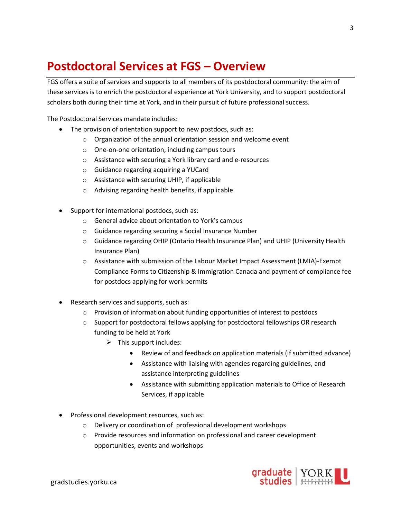# <span id="page-2-0"></span>**Postdoctoral Services at FGS – Overview**

FGS offers a suite of services and supports to all members of its postdoctoral community: the aim of these services is to enrich the postdoctoral experience at York University, and to support postdoctoral scholars both during their time at York, and in their pursuit of future professional success.

The Postdoctoral Services mandate includes:

- The provision of orientation support to new postdocs, such as:
	- o Organization of the annual orientation session and welcome event
	- o One-on-one orientation, including campus tours
	- o Assistance with securing a York library card and e-resources
	- o Guidance regarding acquiring a YUCard
	- o Assistance with securing UHIP, if applicable
	- o Advising regarding health benefits, if applicable
- Support for international postdocs, such as:
	- o General advice about orientation to York's campus
	- o Guidance regarding securing a Social Insurance Number
	- o Guidance regarding OHIP (Ontario Health Insurance Plan) and UHIP (University Health Insurance Plan)
	- $\circ$  Assistance with submission of the Labour Market Impact Assessment (LMIA)-Exempt Compliance Forms to Citizenship & Immigration Canada and payment of compliance fee for postdocs applying for work permits
- Research services and supports, such as:
	- $\circ$  Provision of information about funding opportunities of interest to postdocs
	- $\circ$  Support for postdoctoral fellows applying for postdoctoral fellowships OR research funding to be held at York
		- $\triangleright$  This support includes:
			- Review of and feedback on application materials (if submitted advance)
			- Assistance with liaising with agencies regarding guidelines, and assistance interpreting guidelines
			- Assistance with submitting application materials to Office of Research Services, if applicable
- Professional development resources, such as:
	- o Delivery or coordination of professional development workshops
	- o Provide resources and information on professional and career development opportunities, events and workshops



3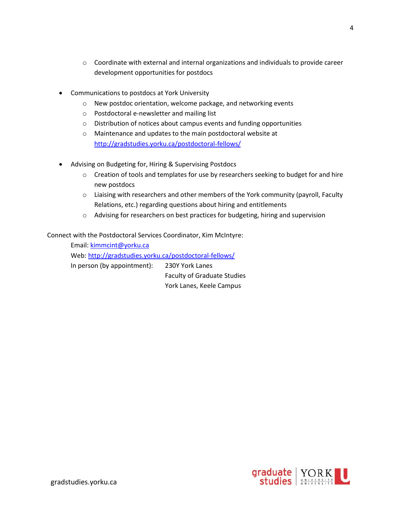- $\circ$  Coordinate with external and internal organizations and individuals to provide career development opportunities for postdocs
- Communications to postdocs at York University
	- o New postdoc orientation, welcome package, and networking events
	- o Postdoctoral e-newsletter and mailing list
	- o Distribution of notices about campus events and funding opportunities
	- o Maintenance and updates to the main postdoctoral website at <http://gradstudies.yorku.ca/postdoctoral-fellows/>
- Advising on Budgeting for, Hiring & Supervising Postdocs
	- $\circ$  Creation of tools and templates for use by researchers seeking to budget for and hire new postdocs
	- $\circ$  Liaising with researchers and other members of the York community (payroll, Faculty Relations, etc.) regarding questions about hiring and entitlements
	- o Advising for researchers on best practices for budgeting, hiring and supervision

Connect with the Postdoctoral Services Coordinator, Kim McIntyre:

Email: [kimmcint@yorku.ca](mailto:kimmcint@yorku.ca) Web[: http://gradstudies.yorku.ca/postdoctoral-fellows/](http://gradstudies.yorku.ca/postdoctoral-fellows/) In person (by appointment): 230Y York Lanes Faculty of Graduate Studies York Lanes, Keele Campus

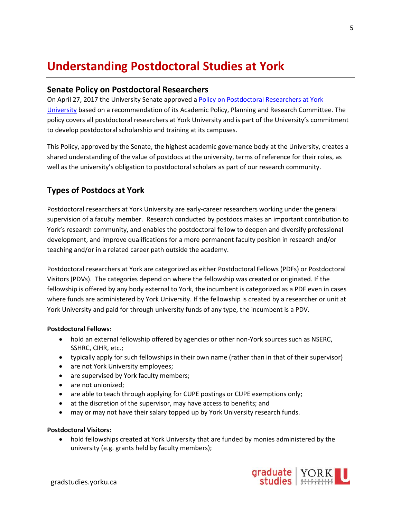# <span id="page-4-0"></span>**Understanding Postdoctoral Studies at York**

#### <span id="page-4-1"></span>**Senate Policy on Postdoctoral Researchers**

On April 27, 2017 the University Senate approved a Policy on Postdoctoral Researchers at York [University](http://secretariat-policies.info.yorku.ca/policies/postdoctoral-researchers-at-york-university-senate-policy-on/) based on a recommendation of its Academic Policy, Planning and Research Committee. The policy covers all postdoctoral researchers at York University and is part of the University's commitment to develop postdoctoral scholarship and training at its campuses.

This Policy, approved by the Senate, the highest academic governance body at the University, creates a shared understanding of the value of postdocs at the university, terms of reference for their roles, as well as the university's obligation to postdoctoral scholars as part of our research community.

# <span id="page-4-2"></span>**Types of Postdocs at York**

Postdoctoral researchers at York University are early-career researchers working under the general supervision of a faculty member. Research conducted by postdocs makes an important contribution to York's research community, and enables the postdoctoral fellow to deepen and diversify professional development, and improve qualifications for a more permanent faculty position in research and/or teaching and/or in a related career path outside the academy.

Postdoctoral researchers at York are categorized as either Postdoctoral Fellows (PDFs) or Postdoctoral Visitors (PDVs). The categories depend on where the fellowship was created or originated. If the fellowship is offered by any body external to York, the incumbent is categorized as a PDF even in cases where funds are administered by York University. If the fellowship is created by a researcher or unit at York University and paid for through university funds of any type, the incumbent is a PDV.

#### **Postdoctoral Fellows**:

- hold an external fellowship offered by agencies or other non-York sources such as NSERC, SSHRC, CIHR, etc.;
- typically apply for such fellowships in their own name (rather than in that of their supervisor)
- are not York University employees;
- are supervised by York faculty members;
- are not unionized;
- are able to teach through applying for CUPE postings or CUPE exemptions only;
- at the discretion of the supervisor, may have access to benefits; and
- may or may not have their salary topped up by York University research funds.

#### **Postdoctoral Visitors:**

• hold fellowships created at York University that are funded by monies administered by the university (e.g. grants held by faculty members);

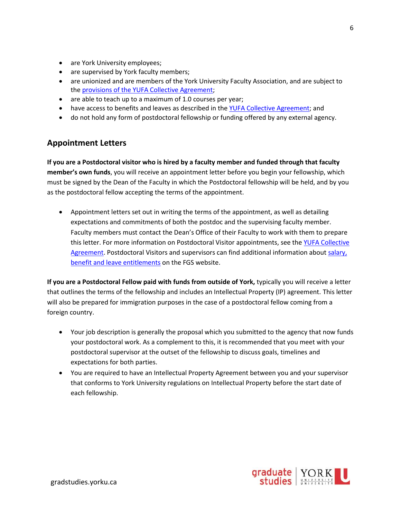- are York University employees;
- are supervised by York faculty members;
- are unionized and are members of the York University Faculty Association, and are subject to th[e provisions of the YUFA Collective Agreement;](https://fr.info.yorku.ca/files/2019/04/112138-1_York_YUFA_05-1.pdf?x68193)
- are able to teach up to a maximum of 1.0 courses per year;
- have access to benefits and leaves as described in the [YUFA Collective Agreement;](https://fr.info.yorku.ca/files/2019/04/112138-1_York_YUFA_05-1.pdf?x68193) and
- do not hold any form of postdoctoral fellowship or funding offered by any external agency.

### <span id="page-5-0"></span>**Appointment Letters**

**If you are a Postdoctoral visitor who is hired by a faculty member and funded through that faculty member's own funds**, you will receive an appointment letter before you begin your fellowship, which must be signed by the Dean of the Faculty in which the Postdoctoral fellowship will be held, and by you as the postdoctoral fellow accepting the terms of the appointment.

• Appointment letters set out in writing the terms of the appointment, as well as detailing expectations and commitments of both the postdoc and the supervising faculty member. Faculty members must contact the Dean's Office of their Faculty to work with them to prepare this letter. For more information on Postdoctoral Visitor appointments, see the YUFA Collective [Agreement.](https://fr.info.yorku.ca/files/2019/04/112138-1_York_YUFA_05-1.pdf?x68193) Postdoctoral Visitors and supervisors can find additional information about salary, [benefit and leave entitlements](http://gradstudies.yorku.ca/postdoctoral-fellows/postdoctoral-visitors-faqs/) on the FGS website.

**If you are a Postdoctoral Fellow paid with funds from outside of York,** typically you will receive a letter that outlines the terms of the fellowship and includes an Intellectual Property (IP) agreement. This letter will also be prepared for immigration purposes in the case of a postdoctoral fellow coming from a foreign country.

- Your job description is generally the proposal which you submitted to the agency that now funds your postdoctoral work. As a complement to this, it is recommended that you meet with your postdoctoral supervisor at the outset of the fellowship to discuss goals, timelines and expectations for both parties.
- You are required to have an Intellectual Property Agreement between you and your supervisor that conforms to York University regulations on Intellectual Property before the start date of each fellowship.

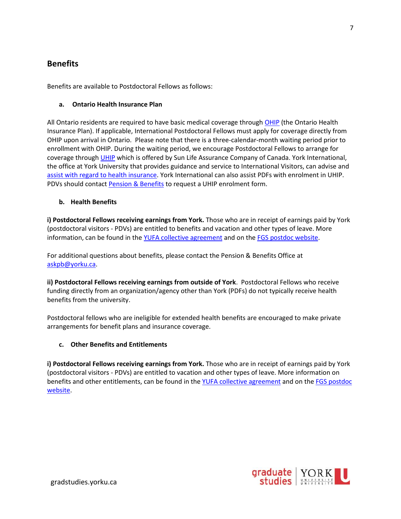### <span id="page-6-0"></span>**Benefits**

Benefits are available to Postdoctoral Fellows as follows:

#### <span id="page-6-1"></span>**a. Ontario Health Insurance Plan**

All Ontario residents are required to have basic medical coverage through [OHIP](http://www.health.gov.on.ca/en/public/programs/ohip/) (the Ontario Health Insurance Plan). If applicable, International Postdoctoral Fellows must apply for coverage directly from OHIP upon arrival in Ontario. Please note that there is a three-calendar-month waiting period prior to enrollment with OHIP. During the waiting period, we encourage Postdoctoral Fellows to arrange for coverage throug[h UHIP](http://uhip.ca/Defaulthome.aspx) which is offered by Sun Life Assurance Company of Canada. York International, the office at York University that provides guidance and service to International Visitors, can advise and [assist with regard to health insurance.](https://yorkinternational.yorku.ca/uhip/) York International can also assist PDFs with enrolment in UHIP. PDVs should contact **Pension & Benefits** to request a UHIP enrolment form.

#### <span id="page-6-2"></span>**b. Health Benefits**

**i) Postdoctoral Fellows receiving earnings from York.** Those who are in receipt of earnings paid by York (postdoctoral visitors - PDVs) are entitled to benefits and vacation and other types of leave. More information, can be found in th[e YUFA collective agreement](https://fr.info.yorku.ca/files/2019/04/112138-1_York_YUFA_05-1.pdf?x68193) and on the [FGS postdoc website.](http://gradstudies.yorku.ca/postdoctoral-fellows/postdoctoral-visitors-faqs/)

For additional questions about benefits, please contact the Pension & Benefits Office at [askpb@yorku.ca.](mailto:askpb@yorku.ca)

**ii) Postdoctoral Fellows receiving earnings from outside of York**. Postdoctoral Fellows who receive funding directly from an organization/agency other than York (PDFs) do not typically receive health benefits from the university.

Postdoctoral fellows who are ineligible for extended health benefits are encouraged to make private arrangements for benefit plans and insurance coverage.

#### **c. Other Benefits and Entitlements**

**i) Postdoctoral Fellows receiving earnings from York.** Those who are in receipt of earnings paid by York (postdoctoral visitors - PDVs) are entitled to vacation and other types of leave. More information on benefits and other entitlements, can be found in the [YUFA collective agreement](https://fr.info.yorku.ca/files/2019/04/112138-1_York_YUFA_05-1.pdf?x68193) and on the FGS postdoc [website.](http://gradstudies.yorku.ca/postdoctoral-fellows/postdoctoral-visitors-faqs/)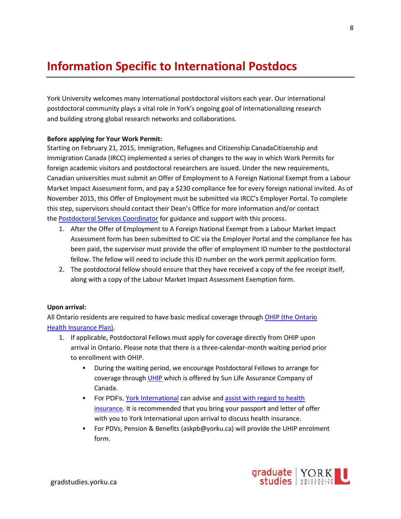# <span id="page-7-0"></span>**Information Specific to International Postdocs**

York University welcomes many international postdoctoral visitors each year. Our international postdoctoral community plays a vital role in York's ongoing goal of internationalizing research and building strong global research networks and collaborations.

#### **Before applying for Your Work Permit:**

Starting on February 21, 2015, Immigration, Refugees and Citizenship CanadaCitizenship and Immigration Canada (IRCC) implemented a series of changes to the way in which Work Permits for foreign academic visitors and postdoctoral researchers are issued. Under the new requirements, Canadian universities must submit an Offer of Employment to A Foreign National Exempt from a Labour Market Impact Assessment form, and pay a \$230 compliance fee for every foreign national invited. As of November 2015, this Offer of Employment must be submitted via IRCC's Employer Portal. To complete this step, supervisors should contact their Dean's Office for more information and/or contact the [Postdoctoral Services Coordinator](http://gradstudies.yorku.ca/postdoctoral-fellows/contact/) for guidance and support with this process.

- 1. After the Offer of Employment to A Foreign National Exempt from a Labour Market Impact Assessment form has been submitted to CIC via the Employer Portal and the compliance fee has been paid, the supervisor must provide the offer of employment ID number to the postdoctoral fellow. The fellow will need to include this ID number on the work permit application form.
- 2. The postdoctoral fellow should ensure that they have received a copy of the fee receipt itself, along with a copy of the Labour Market Impact Assessment Exemption form.

#### **Upon arrival:**

All Ontario residents are required to have basic medical coverage through [OHIP \(the Ontario](http://www.health.gov.on.ca/en/public/programs/ohip/)  [Health Insurance Plan\).](http://www.health.gov.on.ca/en/public/programs/ohip/)

- 1. If applicable, Postdoctoral Fellows must apply for coverage directly from OHIP upon arrival in Ontario. Please note that there is a three-calendar-month waiting period prior to enrollment with OHIP.
	- During the waiting period, we encourage Postdoctoral Fellows to arrange for coverage through [UHIP](http://uhip.ca/Defaulthome.aspx) which is offered by Sun Life Assurance Company of Canada.
	- **•** For PDFs, [York International](http://yorkinternational.yorku.ca/) can advise and assist with regard to health [insurance.](https://yorkinternational.yorku.ca/uhip/) It is recommended that you bring your passport and letter of offer with you to York International upon arrival to discuss health insurance.
	- For PDVs, Pension & Benefits (askpb@yorku.ca) will provide the UHIP enrolment form.

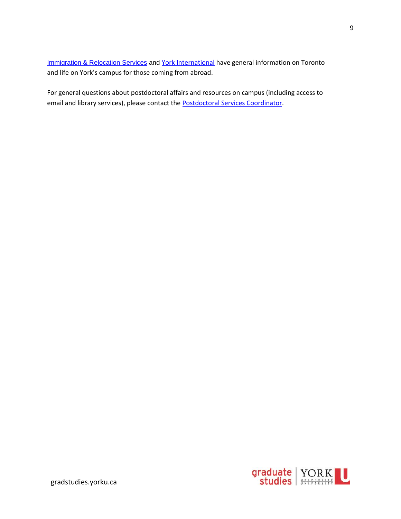[Immigration & Relocation Services](https://relocation.info.yorku.ca/) and [York International](http://yorkinternational.yorku.ca/) have general information on Toronto and life on York's campus for those coming from abroad.

For general questions about postdoctoral affairs and resources on campus (including access to email and library services), please contact the **Postdoctoral Services Coordinator**.

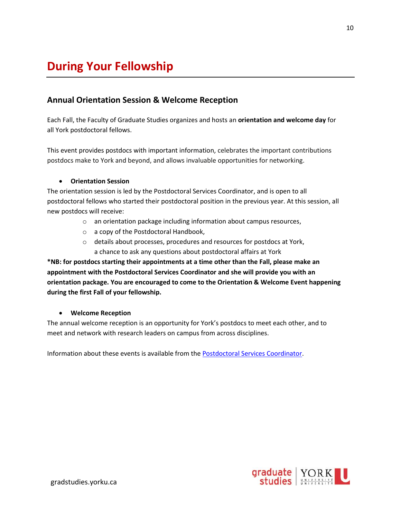# <span id="page-9-0"></span>**During Your Fellowship**

### <span id="page-9-1"></span>**Annual Orientation Session & Welcome Reception**

Each Fall, the Faculty of Graduate Studies organizes and hosts an **orientation and welcome day** for all York postdoctoral fellows.

This event provides postdocs with important information, celebrates the important contributions postdocs make to York and beyond, and allows invaluable opportunities for networking.

#### • **Orientation Session**

The orientation session is led by the Postdoctoral Services Coordinator, and is open to all postdoctoral fellows who started their postdoctoral position in the previous year. At this session, all new postdocs will receive:

- o an orientation package including information about campus resources,
- o a copy of the Postdoctoral Handbook,
- o details about processes, procedures and resources for postdocs at York, a chance to ask any questions about postdoctoral affairs at York

**\*NB: for postdocs starting their appointments at a time other than the Fall, please make an appointment with the Postdoctoral Services Coordinator and she will provide you with an orientation package. You are encouraged to come to the Orientation & Welcome Event happening during the first Fall of your fellowship.** 

#### • **Welcome Reception**

The annual welcome reception is an opportunity for York's postdocs to meet each other, and to meet and network with research leaders on campus from across disciplines.

Information about these events is available from the [Postdoctoral Services Coordinator.](mailto:kimmcint@yorku.ca)

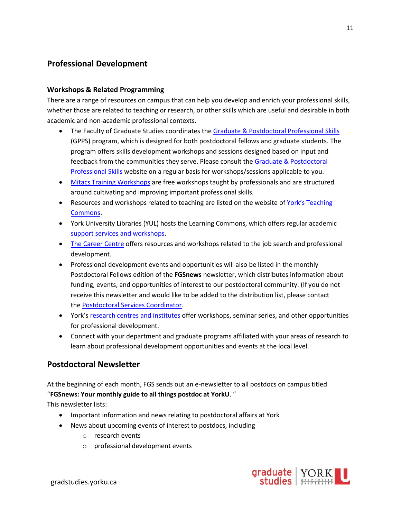# <span id="page-10-0"></span>**Professional Development**

#### <span id="page-10-1"></span>**Workshops & Related Programming**

There are a range of resources on campus that can help you develop and enrich your professional skills, whether those are related to teaching or research, or other skills which are useful and desirable in both academic and non-academic professional contexts.

- The Faculty of Graduate Studies coordinates th[e Graduate & Postdoctoral Professional Skills](http://gradstudies.yorku.ca/current-students/enhancing-your-experience/graduate-professional-skills/) (GPPS) program, which is designed for both postdoctoral fellows and graduate students. The program offers skills development workshops and sessions designed based on input and feedback from the communities they serve. Please consult the [Graduate & Postdoctoral](http://gradstudies.yorku.ca/current-students/enhancing-your-experience/graduate-professional-skills/)  [Professional Skills](http://gradstudies.yorku.ca/current-students/enhancing-your-experience/graduate-professional-skills/) website on a regular basis for workshops/sessions applicable to you.
- [Mitacs Training](https://www.mitacs.ca/en/programs/training/program-details) Workshops are free workshops taught by professionals and are structured around cultivating and improving important professional skills.
- Resources and workshops related to teaching are listed on the website of York's Teaching [Commons.](http://teachingcommons.yorku.ca/)
- York University Libraries (YUL) hosts the Learning Commons, which offers regular academic [support services and workshops.](http://learningcommons.yorku.ca/)
- [The Career Centre](http://careers.yorku.ca/) offers resources and workshops related to the job search and professional development.
- Professional development events and opportunities will also be listed in the monthly Postdoctoral Fellows edition of the **FGSnews** newsletter, which distributes information about funding, events, and opportunities of interest to our postdoctoral community. (If you do not receive this newsletter and would like to be added to the distribution list, please contact the [Postdoctoral Services Coordinator.](mailto:kimmcint@yorku.ca)
- York's [research centres and institutes](http://research.info.yorku.ca/organized-research-units/) offer workshops, seminar series, and other opportunities for professional development.
- Connect with your department and graduate programs affiliated with your areas of research to learn about professional development opportunities and events at the local level.

### <span id="page-10-2"></span>**Postdoctoral Newsletter**

At the beginning of each month, FGS sends out an e-newsletter to all postdocs on campus titled "**FGSnews: Your monthly guide to all things postdoc at YorkU**. "

This newsletter lists:

- Important information and news relating to postdoctoral affairs at York
- News about upcoming events of interest to postdocs, including
	- o research events
	- o professional development events

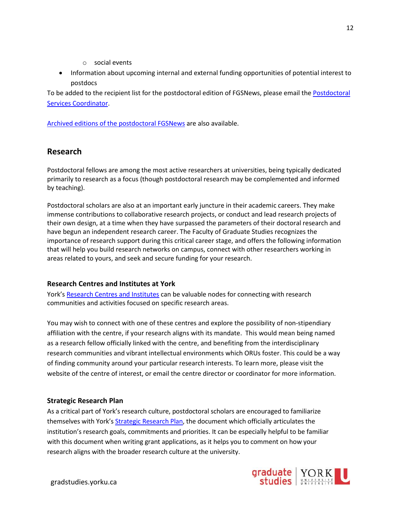- o social events
- Information about upcoming internal and external funding opportunities of potential interest to postdocs

To be added to the recipient list for the postdoctoral edition of FGSNews, please email the [Postdoctoral](mailto:kimmcint@yorku.ca)  [Services Coordinator.](mailto:kimmcint@yorku.ca)

[Archived editions of the postdoctoral FGSNews](http://gradstudies.yorku.ca/faculty-staff/communications-recruitment/news-media/) are also available.

# <span id="page-11-0"></span>**Research**

Postdoctoral fellows are among the most active researchers at universities, being typically dedicated primarily to research as a focus (though postdoctoral research may be complemented and informed by teaching).

Postdoctoral scholars are also at an important early juncture in their academic careers. They make immense contributions to collaborative research projects, or conduct and lead research projects of their own design, at a time when they have surpassed the parameters of their doctoral research and have begun an independent research career. The Faculty of Graduate Studies recognizes the importance of research support during this critical career stage, and offers the following information that will help you build research networks on campus, connect with other researchers working in areas related to yours, and seek and secure funding for your research.

#### <span id="page-11-1"></span>**Research Centres and Institutes at York**

York's [Research Centres and Institutes](http://research.info.yorku.ca/organized-research-units/) can be valuable nodes for connecting with research communities and activities focused on specific research areas.

You may wish to connect with one of these centres and explore the possibility of non-stipendiary affiliation with the centre, if your research aligns with its mandate. This would mean being named as a research fellow officially linked with the centre, and benefiting from the interdisciplinary research communities and vibrant intellectual environments which ORUs foster. This could be a way of finding community around your particular research interests. To learn more, please visit the website of the centre of interest, or email the centre director or coordinator for more information.

#### <span id="page-11-2"></span>**Strategic Research Plan**

As a critical part of York's research culture, postdoctoral scholars are encouraged to familiarize themselves with York's [Strategic Research Plan,](https://www.yorku.ca/research/strategic-research-plan-2018-2023/) the document which officially articulates the institution's research goals, commitments and priorities. It can be especially helpful to be familiar with this document when writing grant applications, as it helps you to comment on how your research aligns with the broader research culture at the university.



12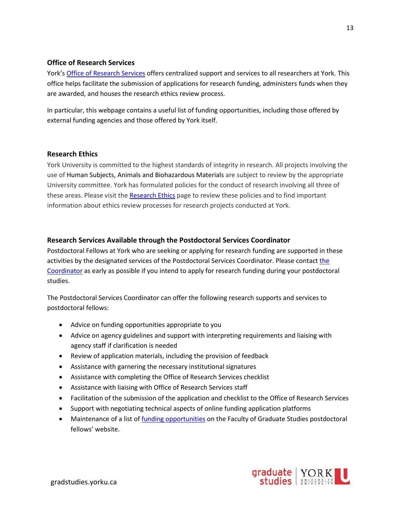#### <span id="page-12-0"></span>**Office of Research Services**

York's [Office of Research Services](https://www.yorku.ca/research/research-services/) offers centralized support and services to all researchers at York. This office helps facilitate the submission of applications for research funding, administers funds when they are awarded, and houses the research ethics review process.

In particular, this webpage contains a useful list of funding opportunities, including those offered by external funding agencies and those offered by York itself.

#### <span id="page-12-1"></span>**Research Ethics**

York University is committed to the highest standards of integrity in research. All projects involving the use of Human Subjects, Animals and Biohazardous Materials are subject to review by the appropriate University committee. York has formulated policies for the conduct of research involving all three of these areas. Please visit th[e Research Ethics](http://www.yorku.ca/research/support/ethics/) page to review these policies and to find important information about ethics review processes for research projects conducted at York.

#### <span id="page-12-2"></span>**Research Services Available through the Postdoctoral Services Coordinator**

Postdoctoral Fellows at York who are seeking or applying for research funding are supported in these activities by the designated services of the Postdoctoral Services Coordinator. Please contact [the](mailto:kimmcint@yorku.ca)  [Coordinator](mailto:kimmcint@yorku.ca) as early as possible if you intend to apply for research funding during your postdoctoral studies.

The Postdoctoral Services Coordinator can offer the following research supports and services to postdoctoral fellows:

- Advice on funding opportunities appropriate to you
- Advice on agency guidelines and support with interpreting requirements and liaising with agency staff if clarification is needed
- Review of application materials, including the provision of feedback
- Assistance with garnering the necessary institutional signatures
- Assistance with completing the Office of Research Services checklist
- Assistance with liaising with Office of Research Services staff
- Facilitation of the submission of the application and checklist to the Office of Research Services
- Support with negotiating technical aspects of online funding application platforms
- Maintenance of a list of [funding opportunities](http://gradstudies.yorku.ca/postdoctoral-fellows/funding/) on the Faculty of Graduate Studies postdoctoral fellows' website.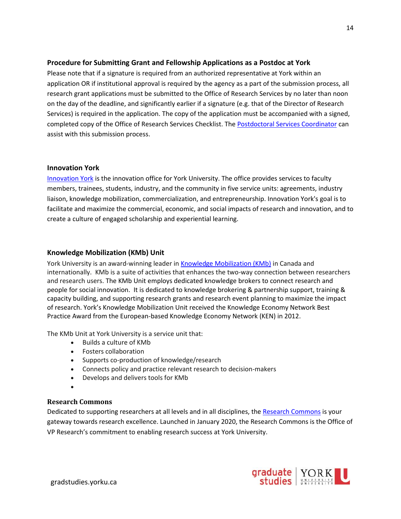#### <span id="page-13-0"></span>**Procedure for Submitting Grant and Fellowship Applications as a Postdoc at York**

Please note that if a signature is required from an authorized representative at York within an application OR if institutional approval is required by the agency as a part of the submission process, all research grant applications must be submitted to the Office of Research Services by no later than noon on the day of the deadline, and significantly earlier if a signature (e.g. that of the Director of Research Services) is required in the application. The copy of the application must be accompanied with a signed, completed copy of the Office of Research Services Checklist. The [Postdoctoral Services Coordinator](http://gradstudies.yorku.ca/postdoctoral-fellows/contact/) can assist with this submission process.

#### <span id="page-13-1"></span>**Innovation York**

[Innovation York](http://innovationyork.ca/) is the innovation office for York University. The office provides services to faculty members, trainees, students, industry, and the community in five service units: agreements, industry liaison, knowledge mobilization, commercialization, and entrepreneurship. Innovation York's goal is to facilitate and maximize the commercial, economic, and social impacts of research and innovation, and to create a culture of engaged scholarship and experiential learning.

#### <span id="page-13-2"></span>**Knowledge Mobilization (KMb) Unit**

York University is an award-winning leader in [Knowledge Mobilization \(KMb\)](http://innovationyork.ca/knowledge-mobilization/) in Canada and internationally. KMb is a suite of activities that enhances the two-way connection between researchers and research users. The KMb Unit employs dedicated knowledge brokers to connect research and people for social innovation. It is dedicated to [knowledge brokering & partnership support,](http://research.info.yorku.ca/knowledge-brokering/) [training &](http://research.info.yorku.ca/training/)  [capacity building,](http://research.info.yorku.ca/training/) and [supporting research grants](http://research.info.yorku.ca/research-grant-support/) and [research event planning](http://research.info.yorku.ca/research-event-planning/) to maximize the impact of research. York's Knowledge Mobilization Unit received the [Knowledge Economy Network Best](http://yfile.news.yorku.ca/2012/06/12/yorks-knowledge-mobilization-unit-wins-best-practice-award/)  [Practice Award](http://yfile.news.yorku.ca/2012/06/12/yorks-knowledge-mobilization-unit-wins-best-practice-award/) from the European-based [Knowledge Economy Network](http://www.knowledge-economy.net/network/awards/ken-awards-2012/) (KEN) in 2012.

The KMb Unit at York University is a service unit that:

- Builds a culture of KMb
- Fosters collaboration
- Supports co-production of knowledge/research
- Connects policy and practice relevant research to decision-makers
- Develops and delivers tools for KMb
- •

#### **Research Commons**

Dedicated to supporting researchers at all levels and in all disciplines, the [Research Commons](https://researchcommons.yorku.ca/) is your gateway towards research excellence. Launched in January 2020, the Research Commons is the Office of VP Research's commitment to enabling research success at York University.

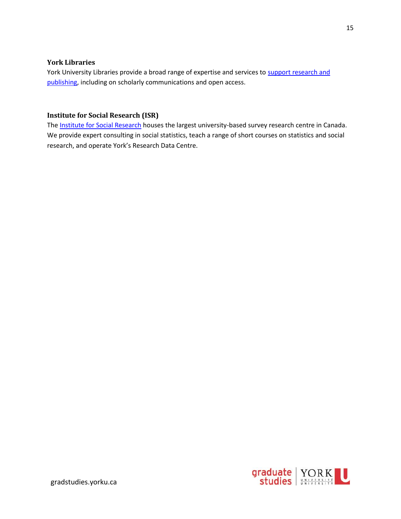#### <span id="page-14-0"></span>**York Libraries**

York University Libraries provide a broad range of expertise and services to support research and [publishing,](https://www.library.yorku.ca/web/research/) including on scholarly communications and open access.

#### <span id="page-14-1"></span>**Institute for Social Research (ISR)**

The [Institute for Social Research](http://www.isryorku.ca/) houses the largest university-based survey research centre in Canada. We provide expert consulting in social statistics, teach a range of short courses on statistics and social research, and operate York's Research Data Centre.

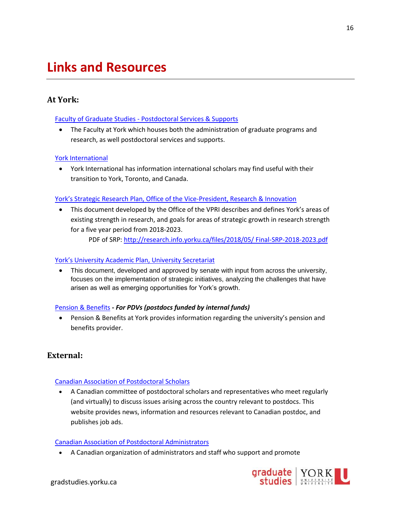# <span id="page-15-0"></span>**Links and Resources**

### <span id="page-15-1"></span>**At York:**

#### Faculty of Graduate Studies - [Postdoctoral Services & Supports](http://gradstudies.yorku.ca/postdoctoral-fellows/)

• The Faculty at York which houses both the administration of graduate programs and research, as well postdoctoral services and supports.

#### [York International](http://yorkinternational.yorku.ca/)

• York International has information international scholars may find useful with their transition to York, Toronto, and Canada.

#### [York's Strategic Research Plan, Office of the Vice](https://www.yorku.ca/research/strategic-research-plan-2018-2023/)-President, Research & Innovation

• This document developed by the Office of the VPRI describes and defines York's areas of existing strength in research, and goals for areas of strategic growth in research strength for a five year period from 2018-2023.

PDF of SRP: [http://research.info.yorku.ca/files/2018/05/ Final-SRP-2018-2023.pdf](http://research.info.yorku.ca/files/2018/05/%20Final-SRP-2018-2023.pdf)

#### Yor[k's University Academic Plan, University Secretariat](https://www.yorku.ca/uap2020-25/)

• This document, developed and approved by senate with input from across the university, focuses on the implementation of strategic initiatives, analyzing the challenges that have arisen as well as emerging opportunities for York's growth.

#### [Pension & Benefits](https://retire.info.yorku.ca/) **-** *For PDVs (postdocs funded by internal funds)*

• Pension & Benefits at York provides information regarding the university's pension and benefits provider.

#### <span id="page-15-2"></span>**External:**

#### [Canadian Association of Postdoctoral Scholars](https://www.caps-acsp.ca/en/)

• A Canadian committee of postdoctoral scholars and representatives who meet regularly (and virtually) to discuss issues arising across the country relevant to postdocs. This website provides news, information and resources relevant to Canadian postdoc, and publishes job ads.

#### [Canadian Association of Postdoctoral Administrators](http://postdoc.ca/)

• A Canadian organization of administrators and staff who support and promote



16